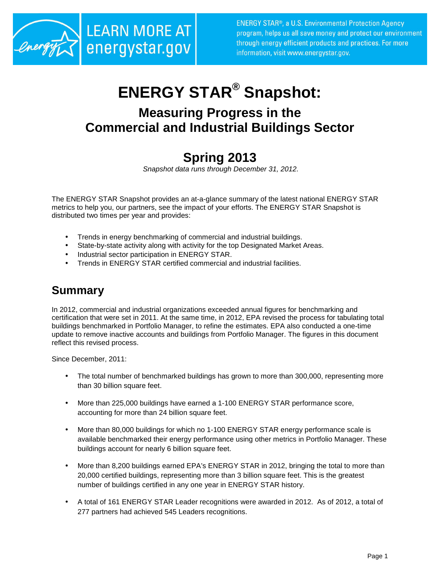

# **ENERGY STAR® Snapshot:**

## **Measuring Progress in the Commercial and Industrial Buildings Sector**

## **Spring 2013**

Snapshot data runs through December 31, 2012.

The ENERGY STAR Snapshot provides an at-a-glance summary of the latest national ENERGY STAR metrics to help you, our partners, see the impact of your efforts. The ENERGY STAR Snapshot is distributed two times per year and provides:

- Trends in energy benchmarking of commercial and industrial buildings.
- State-by-state activity along with activity for the top Designated Market Areas.
- Industrial sector participation in ENERGY STAR.
- Trends in ENERGY STAR certified commercial and industrial facilities.

### **Summary**

In 2012, commercial and industrial organizations exceeded annual figures for benchmarking and certification that were set in 2011. At the same time, in 2012, EPA revised the process for tabulating total buildings benchmarked in Portfolio Manager, to refine the estimates. EPA also conducted a one-time update to remove inactive accounts and buildings from Portfolio Manager. The figures in this document reflect this revised process.

Since December, 2011:

- The total number of benchmarked buildings has grown to more than 300,000, representing more than 30 billion square feet.
- More than 225,000 buildings have earned a 1-100 ENERGY STAR performance score, accounting for more than 24 billion square feet.
- More than 80,000 buildings for which no 1-100 ENERGY STAR energy performance scale is available benchmarked their energy performance using other metrics in Portfolio Manager. These buildings account for nearly 6 billion square feet.
- More than 8,200 buildings earned EPA's ENERGY STAR in 2012, bringing the total to more than 20,000 certified buildings, representing more than 3 billion square feet. This is the greatest number of buildings certified in any one year in ENERGY STAR history.
- A total of 161 ENERGY STAR Leader recognitions were awarded in 2012. As of 2012, a total of 277 partners had achieved 545 Leaders recognitions.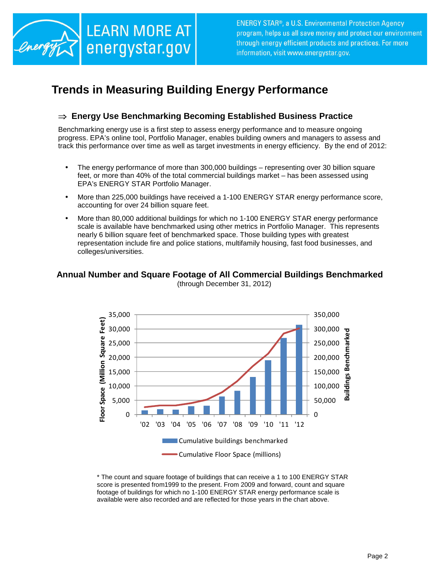

## **Trends in Measuring Building Energy Performance**

#### ⇒ **Energy Use Benchmarking Becoming Established Business Practice**

Benchmarking energy use is a first step to assess energy performance and to measure ongoing progress. EPA's online tool, Portfolio Manager, enables building owners and managers to assess and track this performance over time as well as target investments in energy efficiency. By the end of 2012:

- The energy performance of more than 300,000 buildings representing over 30 billion square feet, or more than 40% of the total commercial buildings market – has been assessed using EPA's ENERGY STAR Portfolio Manager.
- More than 225,000 buildings have received a 1-100 ENERGY STAR energy performance score, accounting for over 24 billion square feet.
- More than 80,000 additional buildings for which no 1-100 ENERGY STAR energy performance scale is available have benchmarked using other metrics in Portfolio Manager. This represents nearly 6 billion square feet of benchmarked space. Those building types with greatest representation include fire and police stations, multifamily housing, fast food businesses, and colleges/universities.

#### **Annual Number and Square Footage of All Commercial Buildings Benchmarked**  (through December 31, 2012)



\* The count and square footage of buildings that can receive a 1 to 100 ENERGY STAR score is presented from1999 to the present. From 2009 and forward, count and square footage of buildings for which no 1-100 ENERGY STAR energy performance scale is available were also recorded and are reflected for those years in the chart above.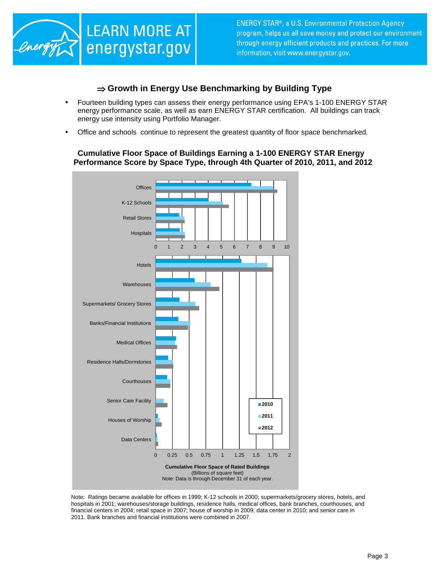

#### ⇒ **Growth in Energy Use Benchmarking by Building Type**

- Fourteen building types can assess their energy performance using EPA's 1-100 ENERGY STAR energy performance scale, as well as earn ENERGY STAR certification. All buildings can track energy use intensity using Portfolio Manager.
- Office and schools continue to represent the greatest quantity of floor space benchmarked.

#### **Cumulative Floor Space of Buildings Earning a 1-100 ENERGY STAR Energy Performance Score by Space Type, through 4th Quarter of 2010, 2011, and 2012**



Note: Ratings became available for offices in 1999; K-12 schools in 2000; supermarkets/grocery stores, hotels, and hospitals in 2001; warehouses/storage buildings, residence halls, medical offices, bank branches, courthouses, and financial centers in 2004; retail space in 2007; house of worship in 2009; data center in 2010; and senior care in 2011. Bank branches and financial institutions were combined in 2007.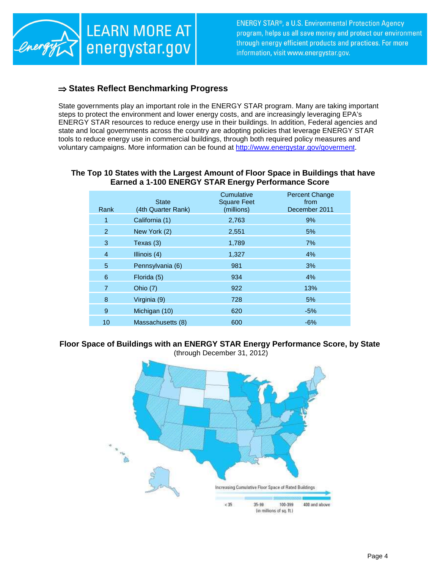

#### ⇒ **States Reflect Benchmarking Progress**

State governments play an important role in the ENERGY STAR program. Many are taking important steps to protect the environment and lower energy costs, and are increasingly leveraging EPA's ENERGY STAR resources to reduce energy use in their buildings. In addition, Federal agencies and state and local governments across the country are adopting policies that leverage ENERGY STAR tools to reduce energy use in commercial buildings, through both required policy measures and voluntary campaigns. More information can be found at http://www.energystar.gov/goverment.

#### **The Top 10 States with the Largest Amount of Floor Space in Buildings that have Earned a 1-100 ENERGY STAR Energy Performance Score**

| Rank           | <b>State</b><br>(4th Quarter Rank) | Cumulative<br><b>Square Feet</b><br>(millions) | <b>Percent Change</b><br>from<br>December 2011 |
|----------------|------------------------------------|------------------------------------------------|------------------------------------------------|
| 1              | California (1)                     | 2,763                                          | 9%                                             |
| $\overline{2}$ | New York (2)                       | 2,551                                          | 5%                                             |
| 3              | Texas (3)                          | 1,789                                          | 7%                                             |
| $\overline{4}$ | Illinois $(4)$                     | 1,327                                          | 4%                                             |
| 5              | Pennsylvania (6)                   | 981                                            | 3%                                             |
| 6              | Florida (5)                        | 934                                            | 4%                                             |
| $\overline{7}$ | Ohio (7)                           | 922                                            | 13%                                            |
| 8              | Virginia (9)                       | 728                                            | 5%                                             |
| 9              | Michigan (10)                      | 620                                            | $-5%$                                          |
| 10             | Massachusetts (8)                  | 600                                            | $-6%$                                          |

#### **Floor Space of Buildings with an ENERGY STAR Energy Performance Score, by State**  (through December 31, 2012)

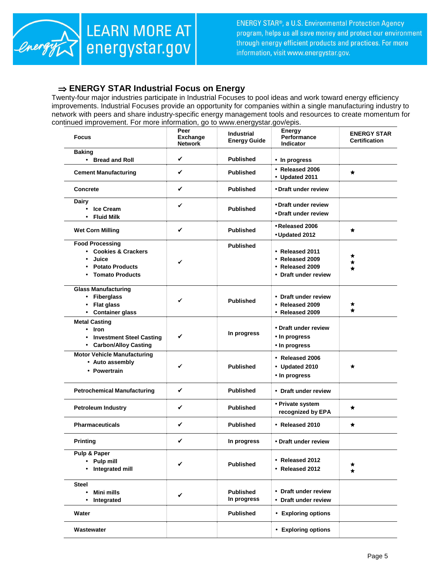

#### ⇒ **ENERGY STAR Industrial Focus on Energy**

Twenty-four major industries participate in Industrial Focuses to pool ideas and work toward energy efficiency improvements. Industrial Focuses provide an opportunity for companies within a single manufacturing industry to network with peers and share industry-specific energy management tools and resources to create momentum for continued improvement. For more information, go to www.energystar.gov/epis.

| <b>Focus</b>                                                                                                             | Peer<br><b>Exchange</b><br><b>Network</b> | <b>Industrial</b><br><b>Energy Guide</b> | <b>Energy</b><br>Performance<br>Indicator                                     | <b>ENERGY STAR</b><br><b>Certification</b> |
|--------------------------------------------------------------------------------------------------------------------------|-------------------------------------------|------------------------------------------|-------------------------------------------------------------------------------|--------------------------------------------|
| <b>Baking</b><br>• Bread and Roll                                                                                        | ✓                                         | <b>Published</b>                         | • In progress                                                                 |                                            |
| <b>Cement Manufacturing</b>                                                                                              | ✓                                         | <b>Published</b>                         | • Released 2006<br>• Updated 2011                                             | $\star$                                    |
| Concrete                                                                                                                 | ✓                                         | <b>Published</b>                         | • Draft under review                                                          |                                            |
| <b>Dairy</b><br><b>Ice Cream</b><br><b>Fluid Milk</b>                                                                    | ✔                                         | <b>Published</b>                         | • Draft under review<br>• Draft under review                                  |                                            |
| <b>Wet Corn Milling</b>                                                                                                  | ✓                                         | <b>Published</b>                         | • Released 2006<br>• Updated 2012                                             | $\star$                                    |
| <b>Food Processing</b><br>• Cookies & Crackers<br>Juice<br><b>Potato Products</b><br><b>Tomato Products</b><br>$\bullet$ | ✓                                         | <b>Published</b>                         | • Released 2011<br>• Released 2009<br>• Released 2009<br>• Draft under review | ★<br>★<br>$\star$                          |
| <b>Glass Manufacturing</b><br>• Fiberglass<br>• Flat glass<br>• Container glass                                          | ✔                                         | <b>Published</b>                         | • Draft under review<br>• Released 2009<br>• Released 2009                    | ★<br>$\star$                               |
| <b>Metal Casting</b><br>• Iron<br>• Investment Steel Casting<br>• Carbon/Alloy Casting                                   | ✓                                         | In progress                              | • Draft under review<br>• In progress<br>• In progress                        |                                            |
| <b>Motor Vehicle Manufacturing</b><br>• Auto assembly<br>• Powertrain                                                    | ✓                                         | <b>Published</b>                         | • Released 2006<br>• Updated 2010<br>• In progress                            | ★                                          |
| <b>Petrochemical Manufacturing</b>                                                                                       | ✓                                         | <b>Published</b>                         | • Draft under review                                                          |                                            |
| <b>Petroleum Industry</b>                                                                                                | ✓                                         | <b>Published</b>                         | • Private system<br>recognized by EPA                                         | ★                                          |
| <b>Pharmaceuticals</b>                                                                                                   | ✓                                         | <b>Published</b>                         | • Released 2010                                                               | $\star$                                    |
| <b>Printing</b>                                                                                                          | ✓                                         | In progress                              | • Draft under review                                                          |                                            |
| Pulp & Paper<br>Pulp mill<br>Integrated mill                                                                             | ✓                                         | <b>Published</b>                         | • Released 2012<br>• Released 2012                                            | *<br>$\star$                               |
| <b>Steel</b><br>Mini mills<br>$\bullet$<br>Integrated<br>٠                                                               | ✓                                         | <b>Published</b><br>In progress          | • Draft under review<br>• Draft under review                                  |                                            |
| Water                                                                                                                    |                                           | <b>Published</b>                         | • Exploring options                                                           |                                            |
| Wastewater                                                                                                               |                                           |                                          | • Exploring options                                                           |                                            |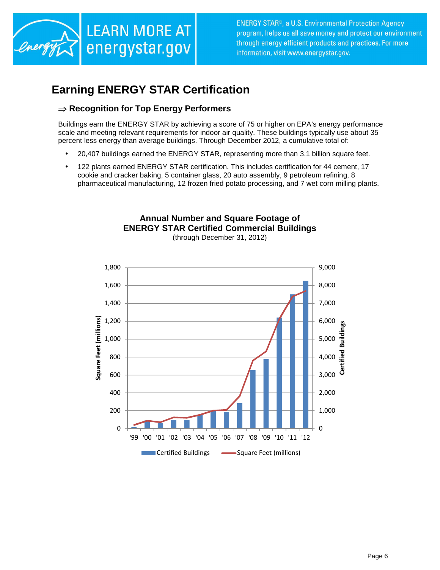

## **Earning ENERGY STAR Certification**

#### ⇒ **Recognition for Top Energy Performers**

Buildings earn the ENERGY STAR by achieving a score of 75 or higher on EPA's energy performance scale and meeting relevant requirements for indoor air quality. These buildings typically use about 35 percent less energy than average buildings. Through December 2012, a cumulative total of:

- 20,407 buildings earned the ENERGY STAR, representing more than 3.1 billion square feet.
- 122 plants earned ENERGY STAR certification. This includes certification for 44 cement, 17 cookie and cracker baking, 5 container glass, 20 auto assembly, 9 petroleum refining, 8 pharmaceutical manufacturing, 12 frozen fried potato processing, and 7 wet corn milling plants.





(through December 31, 2012)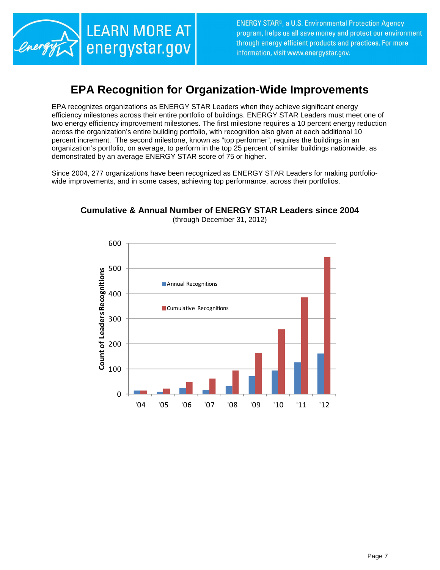

### **EPA Recognition for Organization-Wide Improvements**

EPA recognizes organizations as ENERGY STAR Leaders when they achieve significant energy efficiency milestones across their entire portfolio of buildings. ENERGY STAR Leaders must meet one of two energy efficiency improvement milestones. The first milestone requires a 10 percent energy reduction across the organization's entire building portfolio, with recognition also given at each additional 10 percent increment. The second milestone, known as "top performer", requires the buildings in an organization's portfolio, on average, to perform in the top 25 percent of similar buildings nationwide, as demonstrated by an average ENERGY STAR score of 75 or higher.

Since 2004, 277 organizations have been recognized as ENERGY STAR Leaders for making portfoliowide improvements, and in some cases, achieving top performance, across their portfolios.



#### **Cumulative & Annual Number of ENERGY STAR Leaders since 2004**  (through December 31, 2012)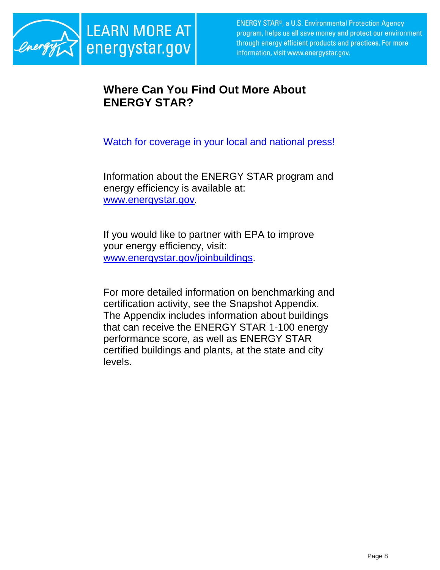

## **Where Can You Find Out More About ENERGY STAR?**

Watch for coverage in your local and national press!

Information about the ENERGY STAR program and energy efficiency is available at: www.energystar.gov.

If you would like to partner with EPA to improve your energy efficiency, visit: www.energystar.gov/joinbuildings.

For more detailed information on benchmarking and certification activity, see the Snapshot Appendix. The Appendix includes information about buildings that can receive the ENERGY STAR 1-100 energy performance score, as well as ENERGY STAR certified buildings and plants, at the state and city levels.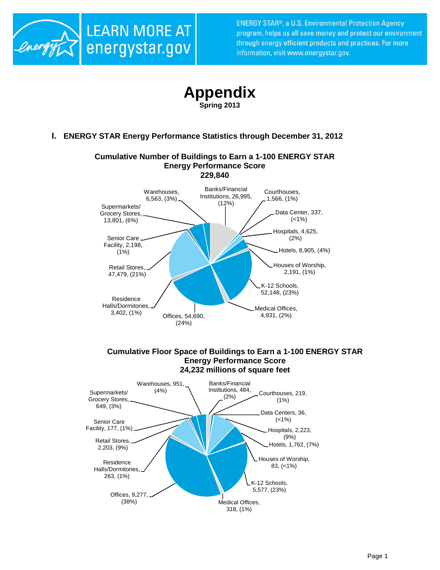



**Spring 2013**

**I. ENERGY STAR Energy Performance Statistics through December 31, 2012** 



Houses of Worship, 83, (<1%)

K-12 Schools, 5,577, (23%)

Medical Offices, 318, (1%)

Offices, 9,277, (38%)

Residence Halls/Dormitories, 263, (1%)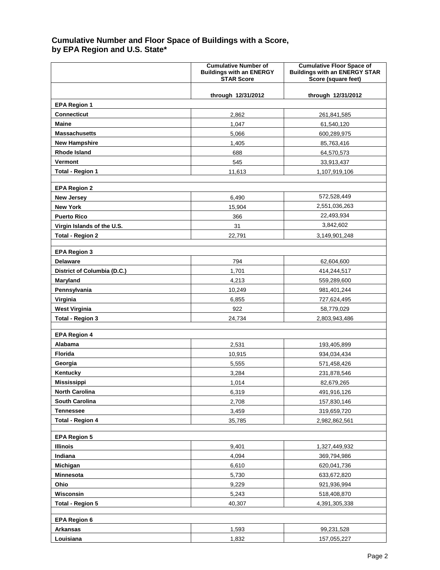#### **Cumulative Number and Floor Space of Buildings with a Score, by EPA Region and U.S. State\***

|                             | <b>Cumulative Number of</b><br><b>Buildings with an ENERGY</b><br><b>STAR Score</b> | <b>Cumulative Floor Space of</b><br><b>Buildings with an ENERGY STAR</b><br>Score (square feet) |
|-----------------------------|-------------------------------------------------------------------------------------|-------------------------------------------------------------------------------------------------|
|                             | through 12/31/2012                                                                  | through 12/31/2012                                                                              |
| <b>EPA Region 1</b>         |                                                                                     |                                                                                                 |
| <b>Connecticut</b>          | 2,862                                                                               | 261,841,585                                                                                     |
| Maine                       | 1,047                                                                               | 61,540,120                                                                                      |
| <b>Massachusetts</b>        | 5.066                                                                               | 600,289,975                                                                                     |
| <b>New Hampshire</b>        | 1,405                                                                               | 85,763,416                                                                                      |
| <b>Rhode Island</b>         | 688                                                                                 | 64,570,573                                                                                      |
| Vermont                     | 545                                                                                 | 33,913,437                                                                                      |
| <b>Total - Region 1</b>     | 11,613                                                                              | 1,107,919,106                                                                                   |
| <b>EPA Region 2</b>         |                                                                                     |                                                                                                 |
| <b>New Jersey</b>           | 6,490                                                                               | 572,528,449                                                                                     |
| <b>New York</b>             | 15,904                                                                              | 2,551,036,263                                                                                   |
| <b>Puerto Rico</b>          | 366                                                                                 | 22,493,934                                                                                      |
| Virgin Islands of the U.S.  | 31                                                                                  | 3,842,602                                                                                       |
| <b>Total - Region 2</b>     | 22,791                                                                              | 3,149,901,248                                                                                   |
|                             |                                                                                     |                                                                                                 |
| <b>EPA Region 3</b>         |                                                                                     |                                                                                                 |
| <b>Delaware</b>             | 794                                                                                 | 62,604,600                                                                                      |
| District of Columbia (D.C.) | 1.701                                                                               | 414,244,517                                                                                     |
| Maryland<br>Pennsylvania    | 4,213<br>10,249                                                                     | 559,289,600<br>981,401,244                                                                      |
| Virginia                    | 6,855                                                                               | 727,624,495                                                                                     |
| <b>West Virginia</b>        | 922                                                                                 | 58,779,029                                                                                      |
| <b>Total - Region 3</b>     | 24,734                                                                              | 2,803,943,486                                                                                   |
|                             |                                                                                     |                                                                                                 |
| <b>EPA Region 4</b>         |                                                                                     |                                                                                                 |
| <b>Alabama</b>              | 2.531                                                                               | 193,405,899                                                                                     |
| <b>Florida</b>              | 10,915                                                                              | 934,034,434                                                                                     |
| Georgia                     | 5,555                                                                               | 571,458,426                                                                                     |
| Kentucky                    | 3,284                                                                               | 231,878,546                                                                                     |
| <b>Mississippi</b>          | 1,014                                                                               | 82,679,265                                                                                      |
| <b>North Carolina</b>       | 6,319                                                                               | 491,916,126                                                                                     |
| South Carolina              | 2,708                                                                               | 157,830,146                                                                                     |
| <b>Tennessee</b>            | 3,459                                                                               | 319,659,720                                                                                     |
| <b>Total - Region 4</b>     | 35,785                                                                              | 2,982,862,561                                                                                   |
| <b>EPA Region 5</b>         |                                                                                     |                                                                                                 |
| <b>Illinois</b>             | 9,401                                                                               | 1,327,449,932                                                                                   |
| Indiana                     | 4,094                                                                               | 369,794,986                                                                                     |
| Michigan                    | 6,610                                                                               | 620,041,736                                                                                     |
| Minnesota                   | 5,730                                                                               | 633,672,820                                                                                     |
| Ohio                        | 9,229                                                                               | 921,936,994                                                                                     |
| Wisconsin                   | 5,243                                                                               | 518,408,870                                                                                     |
| Total - Region 5            | 40,307                                                                              | 4,391,305,338                                                                                   |
|                             |                                                                                     |                                                                                                 |
| <b>EPA Region 6</b>         |                                                                                     |                                                                                                 |
| <b>Arkansas</b>             | 1,593                                                                               | 99,231,528                                                                                      |
| Louisiana                   | 1,832                                                                               | 157,055,227                                                                                     |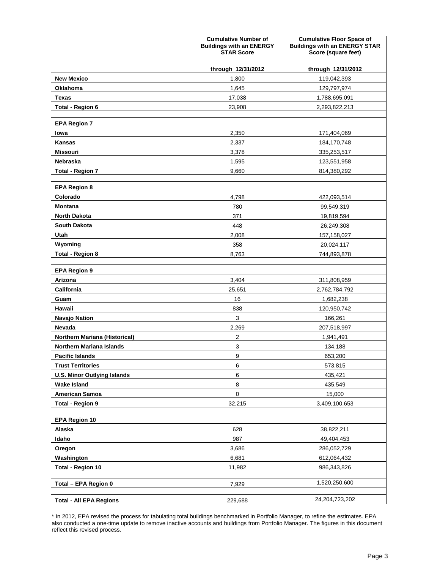|                                      | <b>Cumulative Number of</b><br><b>Buildings with an ENERGY</b><br><b>STAR Score</b> | <b>Cumulative Floor Space of</b><br><b>Buildings with an ENERGY STAR</b><br>Score (square feet) |
|--------------------------------------|-------------------------------------------------------------------------------------|-------------------------------------------------------------------------------------------------|
|                                      | through 12/31/2012                                                                  | through 12/31/2012                                                                              |
| <b>New Mexico</b>                    | 1,800                                                                               | 119,042,393                                                                                     |
| Oklahoma                             | 1,645                                                                               | 129,797,974                                                                                     |
| <b>Texas</b>                         | 17,038                                                                              | 1,788,695,091                                                                                   |
| <b>Total - Region 6</b>              | 23,908                                                                              | 2,293,822,213                                                                                   |
|                                      |                                                                                     |                                                                                                 |
| <b>EPA Region 7</b>                  |                                                                                     |                                                                                                 |
| lowa                                 | 2,350                                                                               | 171,404,069                                                                                     |
| <b>Kansas</b>                        | 2,337                                                                               | 184,170,748                                                                                     |
| <b>Missouri</b>                      | 3,378                                                                               | 335,253,517                                                                                     |
| Nebraska                             | 1,595                                                                               | 123,551,958                                                                                     |
| <b>Total - Region 7</b>              | 9,660                                                                               | 814,380,292                                                                                     |
| <b>EPA Region 8</b>                  |                                                                                     |                                                                                                 |
| Colorado                             | 4,798                                                                               | 422,093,514                                                                                     |
| <b>Montana</b>                       | 780                                                                                 | 99,549,319                                                                                      |
| <b>North Dakota</b>                  | 371                                                                                 | 19,819,594                                                                                      |
| <b>South Dakota</b>                  | 448                                                                                 | 26,249,308                                                                                      |
| Utah                                 | 2,008                                                                               | 157,158,027                                                                                     |
| Wyoming                              | 358                                                                                 | 20,024,117                                                                                      |
| <b>Total - Region 8</b>              | 8,763                                                                               | 744,893,878                                                                                     |
|                                      |                                                                                     |                                                                                                 |
| <b>EPA Region 9</b>                  |                                                                                     |                                                                                                 |
| Arizona                              | 3,404                                                                               | 311,808,959                                                                                     |
| California                           | 25,651                                                                              | 2,762,784,792                                                                                   |
| Guam                                 | 16                                                                                  | 1,682,238                                                                                       |
| Hawaii                               | 838                                                                                 | 120,950,742                                                                                     |
| <b>Navajo Nation</b>                 | $\mathbf{3}$                                                                        | 166,261                                                                                         |
| Nevada                               | 2,269                                                                               | 207,518,997                                                                                     |
| <b>Northern Mariana (Historical)</b> | $\overline{2}$                                                                      | 1,941,491                                                                                       |
| <b>Northern Mariana Islands</b>      | 3                                                                                   | 134,188                                                                                         |
| <b>Pacific Islands</b>               | 9                                                                                   | 653,200                                                                                         |
| <b>Trust Territories</b>             | 6                                                                                   | 573,815                                                                                         |
| <b>U.S. Minor Outlying Islands</b>   | 6                                                                                   | 435,421                                                                                         |
| <b>Wake Island</b>                   | 8                                                                                   | 435,549                                                                                         |
| <b>American Samoa</b>                | $\pmb{0}$                                                                           | 15,000                                                                                          |
| <b>Total - Region 9</b>              | 32,215                                                                              | 3,409,100,653                                                                                   |
| <b>EPA Region 10</b>                 |                                                                                     |                                                                                                 |
| Alaska                               | 628                                                                                 | 38,822,211                                                                                      |
| Idaho                                | 987                                                                                 | 49,404,453                                                                                      |
| Oregon                               | 3,686                                                                               | 286,052,729                                                                                     |
| Washington                           | 6,681                                                                               | 612,064,432                                                                                     |
| <b>Total - Region 10</b>             | 11,982                                                                              | 986,343,826                                                                                     |
|                                      |                                                                                     |                                                                                                 |
| Total - EPA Region 0                 | 7,929                                                                               | 1,520,250,600                                                                                   |
| <b>Total - All EPA Regions</b>       | 229,688                                                                             | 24,204,723,202                                                                                  |

<sup>\*</sup> In 2012, EPA revised the process for tabulating total buildings benchmarked in Portfolio Manager, to refine the estimates. EPA also conducted a one-time update to remove inactive accounts and buildings from Portfolio Manager. The figures in this document reflect this revised process.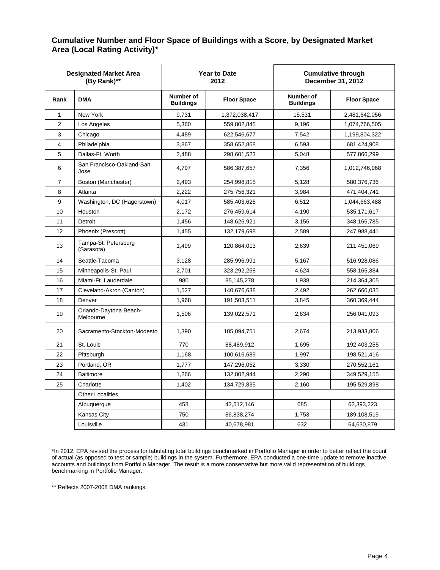#### **Cumulative Number and Floor Space of Buildings with a Score, by Designated Market Area (Local Rating Activity)\***

| <b>Designated Market Area</b><br>(By Rank)** |                                     |                               | <b>Year to Date</b><br>2012 | <b>Cumulative through</b><br>December 31, 2012 |                    |  |
|----------------------------------------------|-------------------------------------|-------------------------------|-----------------------------|------------------------------------------------|--------------------|--|
| Rank                                         | <b>DMA</b>                          | Number of<br><b>Buildings</b> | <b>Floor Space</b>          | Number of<br><b>Buildings</b>                  | <b>Floor Space</b> |  |
| 1                                            | New York                            | 9,731                         | 1,372,038,417               | 15,531                                         | 2,481,642,056      |  |
| 2                                            | Los Angeles                         | 5,360                         | 559,802,845                 | 9,196                                          | 1,074,766,505      |  |
| 3                                            | Chicago                             | 4,489                         | 622,546,677                 | 7,542                                          | 1,199,804,322      |  |
| 4                                            | Philadelphia                        | 3,867                         | 358,652,868                 | 6,593                                          | 681,424,908        |  |
| 5                                            | Dallas-Ft. Worth                    | 2,488                         | 298,601,523                 | 5,048                                          | 577,866,299        |  |
| 6                                            | San Francisco-Oakland-San<br>Jose   | 4,797                         | 586,387,657                 | 7,356                                          | 1,012,746,968      |  |
| 7                                            | Boston (Manchester)                 | 2,493                         | 254,998,815                 | 5,128                                          | 580,376,736        |  |
| 8                                            | Atlanta                             | 2,222                         | 275,756,321                 | 3,984                                          | 471,404,741        |  |
| 9                                            | Washington, DC (Hagerstown)         | 4,017                         | 585,403,628                 | 6,512                                          | 1,044,663,488      |  |
| 10                                           | Houston                             | 2,172                         | 276,459,614                 | 4,190                                          | 535,171,617        |  |
| 11                                           | Detroit                             | 1,456                         | 148,626,921                 | 3,156                                          | 348,166,785        |  |
| 12                                           | Phoenix (Prescott)                  | 1.455                         | 132,179,698                 | 2.589                                          | 247,988,441        |  |
| 13                                           | Tampa-St. Petersburg<br>(Sarasota)  | 1,499                         | 120,864,013                 | 2,639                                          | 211,451,069        |  |
| 14                                           | Seattle-Tacoma                      | 3,128                         | 285,996,991                 | 5.167                                          | 516,928,086        |  |
| 15                                           | Minneapolis-St. Paul                | 2,701                         | 323,292,258                 | 4,624                                          | 558,165,384        |  |
| 16                                           | Miami-Ft. Lauderdale                | 980                           | 85,145,278                  | 1,938                                          | 214,364,305        |  |
| 17                                           | Cleveland-Akron (Canton)            | 1,527                         | 140,676,638                 | 2,492                                          | 262,660,035        |  |
| 18                                           | Denver                              | 1,968                         | 191,503,511                 | 3,845                                          | 360,369,444        |  |
| 19                                           | Orlando-Daytona Beach-<br>Melbourne | 1,506                         | 139,022,571                 | 2,634                                          | 256,041,093        |  |
| 20                                           | Sacramento-Stockton-Modesto         | 1,390                         | 105,094,751                 | 2,674                                          | 213,933,806        |  |
| 21                                           | St. Louis                           | 770                           | 88,489,912                  | 1,695                                          | 192,403,255        |  |
| 22                                           | Pittsburgh                          | 1,168                         | 100,616,689                 | 1,997                                          | 198,521,416        |  |
| 23                                           | Portland, OR                        | 1,777                         | 147,296,052                 | 3,330                                          | 270,552,161        |  |
| 24                                           | <b>Baltimore</b>                    | 1,266                         | 132,802,944                 | 2,290                                          | 349,529,155        |  |
| 25                                           | Charlotte                           | 1,402                         | 134,729,835                 | 2,160                                          | 195,529,898        |  |
|                                              | <b>Other Localities</b>             |                               |                             |                                                |                    |  |
|                                              | Albuquerque                         | 458                           | 42,512,146                  | 685                                            | 62,393,223         |  |
|                                              | Kansas City                         | 750                           | 86,838,274                  | 1,753                                          | 189,108,515        |  |
|                                              | Louisville                          | 431                           | 40,678,981                  | 632                                            | 64,630,879         |  |

\*In 2012, EPA revised the process for tabulating total buildings benchmarked in Portfolio Manager in order to better reflect the count of actual (as opposed to test or sample) buildings in the system. Furthermore, EPA conducted a one-time update to remove inactive accounts and buildings from Portfolio Manager. The result is a more conservative but more valid representation of buildings benchmarking in Portfolio Manager.

\*\* Reflects 2007-2008 DMA rankings.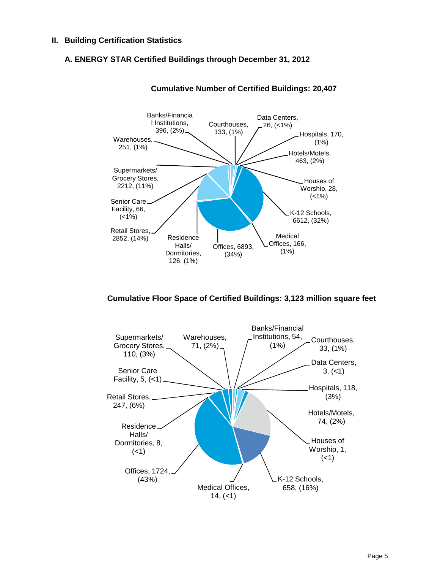#### **II. Building Certification Statistics**

#### **A. ENERGY STAR Certified Buildings through December 31, 2012**



**Cumulative Number of Certified Buildings: 20,407** 

#### **Cumulative Floor Space of Certified Buildings: 3,123 million square feet**

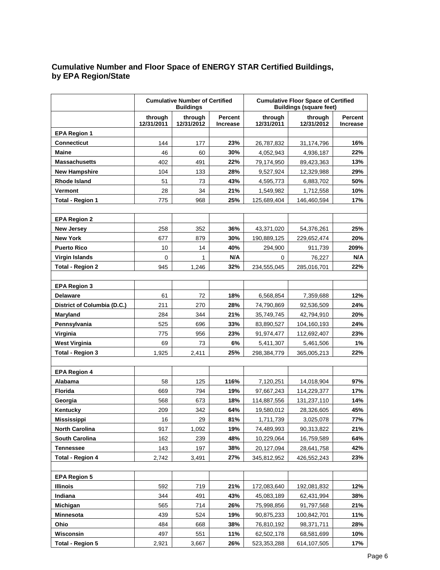#### **Cumulative Number and Floor Space of ENERGY STAR Certified Buildings, by EPA Region/State**

|                             |                       | <b>Cumulative Number of Certified</b><br><b>Buildings</b> |                            | <b>Cumulative Floor Space of Certified</b><br><b>Buildings (square feet)</b> |                       |      |
|-----------------------------|-----------------------|-----------------------------------------------------------|----------------------------|------------------------------------------------------------------------------|-----------------------|------|
|                             | through<br>12/31/2011 | through<br>12/31/2012                                     | <b>Percent</b><br>Increase | through<br>12/31/2011                                                        | through<br>12/31/2012 |      |
| <b>EPA Region 1</b>         |                       |                                                           |                            |                                                                              |                       |      |
| <b>Connecticut</b>          | 144                   | 177                                                       | 23%                        | 26,787,832                                                                   | 31,174,796            | 16%  |
| Maine                       | 46                    | 60                                                        | 30%                        | 4,052,943                                                                    | 4,936,187             | 22%  |
| <b>Massachusetts</b>        | 402                   | 491                                                       | 22%                        | 79,174,950                                                                   | 89,423,363            | 13%  |
| <b>New Hampshire</b>        | 104                   | 133                                                       | 28%                        | 9,527,924                                                                    | 12,329,988            | 29%  |
| <b>Rhode Island</b>         | 51                    | 73                                                        | 43%                        | 4,595,773                                                                    | 6,883,702             | 50%  |
| Vermont                     | 28                    | 34                                                        | 21%                        | 1,549,982                                                                    | 1,712,558             | 10%  |
| <b>Total - Region 1</b>     | 775                   | 968                                                       | 25%                        | 125,689,404                                                                  | 146,460,594           | 17%  |
|                             |                       |                                                           |                            |                                                                              |                       |      |
| <b>EPA Region 2</b>         |                       |                                                           |                            |                                                                              |                       |      |
| <b>New Jersey</b>           | 258                   | 352                                                       | 36%                        | 43,371,020                                                                   | 54,376,261            | 25%  |
| <b>New York</b>             | 677                   | 879                                                       | 30%                        | 190,889,125                                                                  | 229,652,474           | 20%  |
| <b>Puerto Rico</b>          | 10                    | 14                                                        | 40%                        | 294,900                                                                      | 911,739               | 209% |
| Virgin Islands              | 0                     | $\mathbf{1}$                                              | N/A                        | 0                                                                            | 76,227                | N/A  |
| <b>Total - Region 2</b>     | 945                   | 1,246                                                     | 32%                        | 234,555,045                                                                  | 285,016,701           | 22%  |
|                             |                       |                                                           |                            |                                                                              |                       |      |
| <b>EPA Region 3</b>         |                       |                                                           |                            |                                                                              |                       |      |
| <b>Delaware</b>             | 61                    | 72                                                        | 18%                        | 6,568,854                                                                    | 7,359,688             | 12%  |
| District of Columbia (D.C.) | 211                   | 270                                                       | 28%                        | 74,790,869                                                                   | 92,536,509            | 24%  |
| Maryland                    | 284                   | 344                                                       | 21%                        | 35,749,745                                                                   | 42,794,910            | 20%  |
| Pennsylvania                | 525                   | 696                                                       | 33%                        | 83,890,527                                                                   | 104,160,193           | 24%  |
| Virginia                    | 775                   | 956                                                       | 23%                        | 91,974,477                                                                   | 112,692,407           | 23%  |
| West Virginia               | 69                    | 73                                                        | 6%                         | 5,411,307                                                                    | 5,461,506             | 1%   |
| Total - Region 3            | 1,925                 | 2,411                                                     | 25%                        | 298,384,779                                                                  | 365,005,213           | 22%  |
|                             |                       |                                                           |                            |                                                                              |                       |      |
| <b>EPA Region 4</b>         |                       |                                                           |                            |                                                                              |                       |      |
| <b>Alabama</b>              | 58                    | 125                                                       | 116%                       | 7,120,251                                                                    | 14,018,904            | 97%  |
| <b>Florida</b>              | 669                   | 794                                                       | 19%                        | 97,667,243                                                                   | 114,229,377           | 17%  |
| Georgia                     | 568                   | 673                                                       | 18%                        | 114,887,556                                                                  | 131,237,110           | 14%  |
| Kentucky                    | 209                   | 342                                                       | 64%                        | 19,580,012                                                                   | 28,326,605            | 45%  |
| <b>Mississippi</b>          | 16                    | 29                                                        | 81%                        | 1,711,739                                                                    | 3,025,078             | 77%  |
| <b>North Carolina</b>       | 917                   | 1,092                                                     | 19%                        | 74,489,993                                                                   | 90,313,822            | 21%  |
| <b>South Carolina</b>       | 162                   | 239                                                       | 48%                        | 10,229,064                                                                   | 16,759,589            | 64%  |
| <b>Tennessee</b>            | 143                   | 197                                                       | 38%                        | 20,127,094                                                                   | 28,641,758            | 42%  |
| <b>Total - Region 4</b>     | 2,742                 | 3,491                                                     | 27%                        | 345,812,952                                                                  | 426,552,243           | 23%  |
|                             |                       |                                                           |                            |                                                                              |                       |      |
| <b>EPA Region 5</b>         |                       |                                                           |                            |                                                                              |                       |      |
| <b>Illinois</b>             | 592                   | 719                                                       | 21%                        | 172,083,640                                                                  | 192,081,832           | 12%  |
| Indiana                     | 344                   | 491                                                       | 43%                        | 45,083,189                                                                   | 62,431,994            | 38%  |
| Michigan                    | 565                   | 714                                                       | 26%                        | 75,998,856                                                                   | 91,797,568            | 21%  |
| Minnesota                   | 439                   | 524                                                       | 19%                        | 90,875,233                                                                   | 100,842,701           | 11%  |
| Ohio                        | 484                   | 668                                                       | 38%                        | 76,810,192                                                                   | 98,371,711            | 28%  |
| Wisconsin                   | 497                   | 551                                                       | 11%                        | 62,502,178                                                                   | 68,581,699            | 10%  |
| Total - Region 5            | 2,921                 | 3,667                                                     | 26%                        | 523,353,288                                                                  | 614, 107, 505         | 17%  |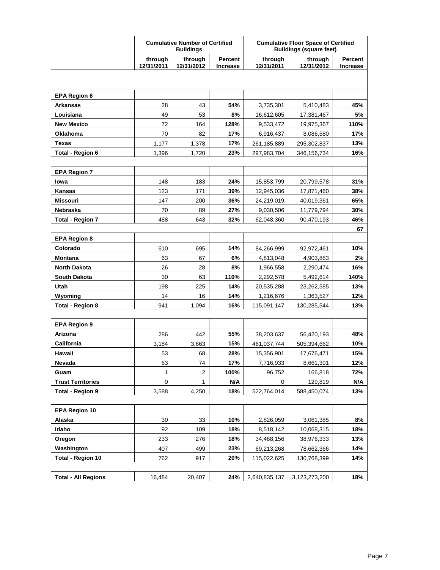|                                    |                       | <b>Cumulative Number of Certified</b><br><b>Buildings</b> |                                   | <b>Cumulative Floor Space of Certified</b><br><b>Buildings (square feet)</b> |                          |                            |
|------------------------------------|-----------------------|-----------------------------------------------------------|-----------------------------------|------------------------------------------------------------------------------|--------------------------|----------------------------|
|                                    | through<br>12/31/2011 | through<br>12/31/2012                                     | <b>Percent</b><br><b>Increase</b> | through<br>12/31/2011                                                        | through<br>12/31/2012    | Percent<br><b>Increase</b> |
|                                    |                       |                                                           |                                   |                                                                              |                          |                            |
| <b>EPA Region 6</b>                |                       |                                                           |                                   |                                                                              |                          |                            |
| <b>Arkansas</b>                    | 28                    | 43                                                        | 54%                               | 3,735,301                                                                    | 5,410,483                | 45%                        |
| Louisiana                          | 49                    | 53                                                        | 8%                                | 16,612,605                                                                   | 17,381,467               | 5%                         |
| <b>New Mexico</b>                  | 72                    | 164                                                       | 128%                              | 9,533,472                                                                    | 19,975,367               | 110%                       |
| <b>Oklahoma</b>                    | 70                    | 82                                                        | 17%                               | 6,916,437                                                                    | 8,086,580                | 17%                        |
| <b>Texas</b>                       | 1,177                 | 1,378                                                     | 17%                               | 261,185,889                                                                  | 295,302,837              | 13%                        |
| Total - Region 6                   | 1,396                 | 1,720                                                     | 23%                               | 297,983,704                                                                  | 346,156,734              | 16%                        |
|                                    |                       |                                                           |                                   |                                                                              |                          |                            |
| <b>EPA Region 7</b>                |                       |                                                           |                                   |                                                                              |                          |                            |
| lowa                               | 148                   | 183                                                       | 24%                               | 15,853,799                                                                   | 20,799,578               | 31%                        |
| <b>Kansas</b>                      | 123                   | 171                                                       | 39%                               | 12,945,036                                                                   | 17,871,460               | 38%                        |
| <b>Missouri</b>                    | 147                   | 200                                                       | 36%                               | 24.219.019                                                                   | 40,019,361               | 65%                        |
| <b>Nebraska</b>                    | 70                    | 89                                                        | 27%                               | 9,030,506                                                                    | 11,779,794               | 30%                        |
| <b>Total - Region 7</b>            | 488                   | 643                                                       | 32%                               | 62,048,360                                                                   | 90,470,193               | 46%                        |
|                                    |                       |                                                           |                                   |                                                                              |                          | 67                         |
| <b>EPA Region 8</b>                |                       |                                                           |                                   |                                                                              |                          |                            |
| Colorado                           | 610                   | 695                                                       | 14%                               | 84,266,999                                                                   | 92,972,461               | 10%                        |
| <b>Montana</b>                     | 63                    | 67                                                        | 6%                                | 4,813,048                                                                    | 4,903,883                | 2%                         |
| <b>North Dakota</b>                | 26                    | 28                                                        | 8%                                | 1,966,558                                                                    | 2,290,474                | 16%                        |
| <b>South Dakota</b>                | 30                    | 63                                                        | 110%                              | 2,292,578                                                                    | 5,492,614                | 140%                       |
| Utah                               | 198                   | 225                                                       | 14%<br>14%                        | 20,535,288                                                                   | 23,262,585               | 13%<br>12%                 |
| Wyoming<br><b>Total - Region 8</b> | 14<br>941             | 16<br>1,094                                               | 16%                               | 1,216,676<br>115,091,147                                                     | 1,363,527<br>130,285,544 | 13%                        |
|                                    |                       |                                                           |                                   |                                                                              |                          |                            |
| <b>EPA Region 9</b>                |                       |                                                           |                                   |                                                                              |                          |                            |
| Arizona                            | 286                   | 442                                                       | 55%                               | 38,203,637                                                                   | 56,420,193               | 48%                        |
| California                         | 3.184                 | 3.663                                                     | 15%                               | 461,037,744                                                                  | 505,394,662              | 10%                        |
| Hawaii                             | 53                    | 68                                                        | 28%                               | 15,356,901                                                                   | 17,676,471               | 15%                        |
| Nevada                             | 63                    | 74                                                        | 17%                               | 7,716,933                                                                    | 8,661,391                | 12%                        |
| Guam                               | 1                     | $\overline{2}$                                            | 100%                              | 96.752                                                                       | 166,818                  | 72%                        |
| <b>Trust Territories</b>           | 0                     | $\mathbf 1$                                               | N/A                               | 0                                                                            | 129,819                  | N/A                        |
| <b>Total - Region 9</b>            | 3,588                 | 4,250                                                     | 18%                               | 522,764,014                                                                  | 588,450,074              | 13%                        |
|                                    |                       |                                                           |                                   |                                                                              |                          |                            |
| <b>EPA Region 10</b>               |                       |                                                           |                                   |                                                                              |                          |                            |
| Alaska                             | 30                    | 33                                                        | 10%                               | 2,826,059                                                                    | 3,061,385                | 8%                         |
| Idaho                              | 92                    | 109                                                       | 18%                               | 8,518,142                                                                    | 10,068,315               | 18%                        |
| Oregon                             | 233                   | 276                                                       | 18%                               | 34,468,156                                                                   | 38,976,333               | 13%                        |
| Washington                         | 407                   | 499                                                       | 23%                               | 69,213,268                                                                   | 78,662,366               | 14%                        |
| <b>Total - Region 10</b>           | 762                   | 917                                                       | 20%                               | 115,022,625                                                                  | 130,768,399              | 14%                        |
|                                    |                       |                                                           |                                   |                                                                              |                          |                            |
| <b>Total - All Regions</b>         | 16,484                | 20,407                                                    | 24%                               | 2,640,835,137                                                                | 3,123,273,200            | 18%                        |